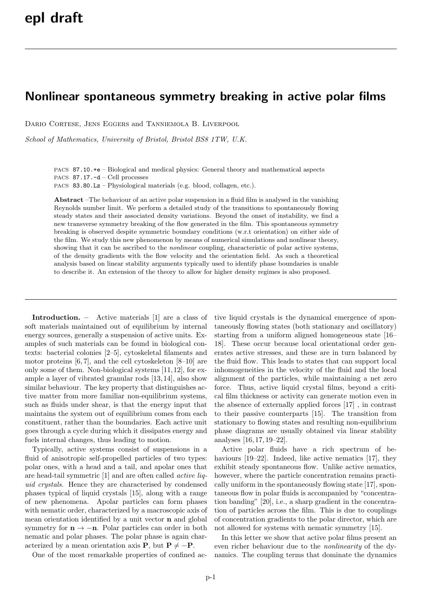## **Nonlinear spontaneous symmetry breaking in active polar films**

Dario Cortese, Jens Eggers and Tanniemola B. Liverpool

*School of Mathematics, University of Bristol, Bristol BS8 1TW, U.K.*

PACS 87.10.+e – Biological and medical physics: General theory and mathematical aspects

PACS 87.17.-d – Cell processes

PACS 83.80.Lz – Physiological materials (e.g. blood, collagen, etc.).

**Abstract** –The behaviour of an active polar suspension in a fluid film is analysed in the vanishing Reynolds number limit. We perform a detailed study of the transitions to spontaneously flowing steady states and their associated density variations. Beyond the onset of instability, we find a new transverse symmetry breaking of the flow generated in the film. This spontaneous symmetry breaking is observed despite symmetric boundary conditions (w.r.t orientation) on either side of the film. We study this new phenomenon by means of numerical simulations and nonlinear theory, showing that it can be ascribed to the *nonlinear* coupling, characteristic of polar active systems, of the density gradients with the flow velocity and the orientation field. As such a theoretical analysis based on linear stability arguments typically used to identify phase boundaries is unable to describe it. An extension of the theory to allow for higher density regimes is also proposed.

**Introduction. –** Active materials [1] are a class of soft materials maintained out of equilibrium by internal energy sources, generally a suspension of active units. Examples of such materials can be found in biological contexts: bacterial colonies [2–5], cytoskeletal filaments and motor proteins [6, 7], and the cell cytoskeleton [8–10] are only some of them. Non-biological systems [11,12], for example a layer of vibrated granular rods [13, 14], also show similar behaviour. The key property that distinguishes active matter from more familiar non-equilibrium systems, such as fluids under shear, is that the energy input that maintains the system out of equilibrium comes from each constituent, rather than the boundaries. Each active unit goes through a cycle during which it dissipates energy and fuels internal changes, thus leading to motion.

Typically, active systems consist of suspensions in a fluid of anisotropic self-propelled particles of two types: polar ones, with a head and a tail, and apolar ones that are head-tail symmetric [1] and are often called *active liquid crystals*. Hence they are characterised by condensed phases typical of liquid crystals [15], along with a range of new phenomena. Apolar particles can form phases with nematic order, characterized by a macroscopic axis of mean orientation identified by a unit vector **n** and global symmetry for  $\mathbf{n} \to -\mathbf{n}$ . Polar particles can order in both nematic and polar phases. The polar phase is again characterized by a mean orientation axis **P**, but  $P \neq -P$ .

One of the most remarkable properties of confined ac-

tive liquid crystals is the dynamical emergence of spontaneously flowing states (both stationary and oscillatory) starting from a uniform aligned homogeneous state [16– 18]. These occur because local orientational order generates active stresses, and these are in turn balanced by the fluid flow. This leads to states that can support local inhomogeneities in the velocity of the fluid and the local alignment of the particles, while maintaining a net zero force. Thus, active liquid crystal films, beyond a critical film thickness or activity can generate motion even in the absence of externally applied forces [17] , in contrast to their passive counterparts [15]. The transition from stationary to flowing states and resulting non-equilibrium phase diagrams are usually obtained via linear stability analyses [16, 17, 19–22].

Active polar fluids have a rich spectrum of behaviours [19–22]. Indeed, like active nematics [17], they exhibit steady spontaneous flow. Unlike active nematics, however, where the particle concentration remains practically uniform in the spontaneously flowing state [17], spontaneous flow in polar fluids is accompanied by "concentration banding" [20], i.e., a sharp gradient in the concentration of particles across the film. This is due to couplings of concentration gradients to the polar director, which are not allowed for systems with nematic symmetry [15].

In this letter we show that active polar films present an even richer behaviour due to the *nonlinearity* of the dynamics. The coupling terms that dominate the dynamics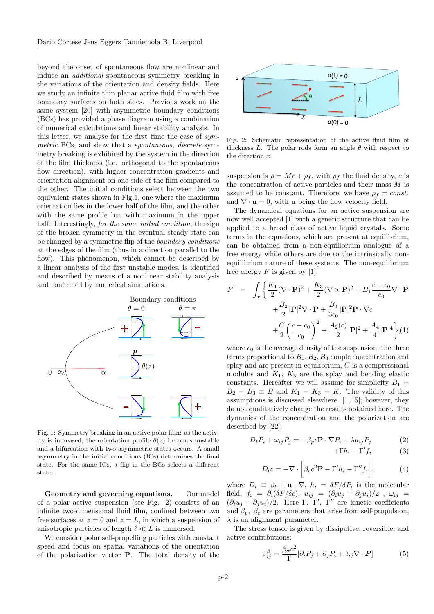beyond the onset of spontaneous flow are nonlinear and induce an *additional* spontaneous symmetry breaking in the variations of the orientation and density fields. Here we study an infinite thin planar active fluid film with free boundary surfaces on both sides. Previous work on the same system [20] with asymmetric boundary conditions (BCs) has provided a phase diagram using a combination of numerical calculations and linear stability analysis. In this letter, we analyse for the first time the case of *symmetric* BCs, and show that a *spontaneous, discrete* symmetry breaking is exhibited by the system in the direction of the film thickness (i.e. orthogonal to the spontaneous flow direction), with higher concentration gradients and orientation alignment on one side of the film compared to the other. The initial conditions select between the two equivalent states shown in Fig.1, one where the maximum orientation lies in the lower half of the film, and the other with the same profile but with maximum in the upper half. Interestingly, *for the same initial condition*, the sign of the broken symmetry in the eventual steady-state can be changed by a symmetric flip of the *boundary conditions* at the edges of the film (thus in a direction parallel to the flow). This phenomenon, which cannot be described by a linear analysis of the first unstable modes, is identified and described by means of a nonlinear stability analysis and confirmed by numerical simulations.



Fig. 1: Symmetry breaking in an active polar film: as the activity is increased, the orientation profile  $\theta(z)$  becomes unstable and a bifurcation with two asymmetric states occurs. A small asymmetry in the initial conditions (ICs) determines the final state. For the same ICs, a flip in the BCs selects a different state.

**Geometry and governing equations. –** Our model of a polar active suspension (see Fig. 2) consists of an infinite two-dimensional fluid film, confined between two free surfaces at  $z = 0$  and  $z = L$ , in which a suspension of anisotropic particles of length  $\ell \ll L$  is immersed.

We consider polar self-propelling particles with constant speed and focus on spatial variations of the orientation of the polarization vector **P**. The total density of the



Fig. 2: Schematic representation of the active fluid film of thickness  $L$ . The polar rods form an angle  $\theta$  with respect to the direction *x*.

suspension is  $\rho = Mc + \rho_f$ , with  $\rho_f$  the fluid density, *c* is the concentration of active particles and their mass *M* is assumed to be constant. Therefore, we have  $\rho_f = const.$ and  $\nabla \cdot \mathbf{u} = 0$ , with **u** being the flow velocity field.

The dynamical equations for an active suspension are now well accepted [1] with a generic structure that can be applied to a broad class of active liquid crystals. Some terms in the equations, which are present at equilibrium, can be obtained from a non-equilibrium analogue of a free energy while others are due to the intrinsically nonequilibrium nature of these systems. The non-equilibrium free energy  $F$  is given by [1]:

$$
F = \int_{\mathbf{r}} \left\{ \frac{K_1}{2} (\nabla \cdot \mathbf{P})^2 + \frac{K_3}{2} (\nabla \times \mathbf{P})^2 + B_1 \frac{c - c_0}{c_0} \nabla \cdot \mathbf{P} \right. \\ \left. + \frac{B_2}{2} |\mathbf{P}|^2 \nabla \cdot \mathbf{P} + \frac{B_3}{3c_0} |\mathbf{P}|^2 \mathbf{P} \cdot \nabla c \right. \\ \left. + \frac{C}{2} \left( \frac{c - c_0}{c_0} \right)^2 + \frac{A_2(c)}{2} |\mathbf{P}|^2 + \frac{A_4}{4} |\mathbf{P}|^4 \right\}, (1)
$$

where  $c_0$  is the average density of the suspension, the three terms proportional to  $B_1, B_2, B_3$  couple concentration and splay and are present in equilibrium, *C* is a compressional modulus and  $K_1$ ,  $K_3$  are the splay and bending elastic constants. Hereafter we will assume for simplicity  $B_1 =$  $B_2 = B_3 \equiv B$  and  $K_1 = K_3 = K$ . The validity of this assumptions is discussed elsewhere [1, 15]; however, they do not qualitatively change the results obtained here. The dynamics of the concentration and the polarization are described by [22]:

$$
D_t P_i + \omega_{ij} P_j = -\beta_p c \mathbf{P} \cdot \nabla P_i + \lambda u_{ij} P_j \tag{2}
$$

$$
+\Gamma h_i - \Gamma' f_i \tag{3}
$$

$$
D_t c = -\nabla \cdot \left[ \beta_c c^2 \mathbf{P} - \Gamma' h_i - \Gamma'' f_i \right],\tag{4}
$$

where  $D_t \equiv \partial_t + \mathbf{u} \cdot \nabla$ ,  $h_i = \delta F / \delta P_i$  is the molecular field,  $f_i = \partial_i(\delta F/\delta c)$ ,  $u_{ij} = (\partial_i u_j + \partial_j u_i)/2$ ,  $\omega_{ij} =$  $(\partial_i u_j - \partial_j u_i)/2$ . Here  $\Gamma$ ,  $\Gamma'$ ,  $\Gamma''$  are kinetic coefficients and  $\beta_p$ ,  $\beta_c$  are parameters that arise from self-propulsion, *λ* is an alignment parameter.

The stress tensor is given by dissipative, reversible, and active contributions:

$$
\sigma_{ij}^{\beta} = \frac{\beta_{\sigma}c^2}{\Gamma} [\partial_i P_j + \partial_j P_i + \delta_{ij} \nabla \cdot \boldsymbol{P}] \tag{5}
$$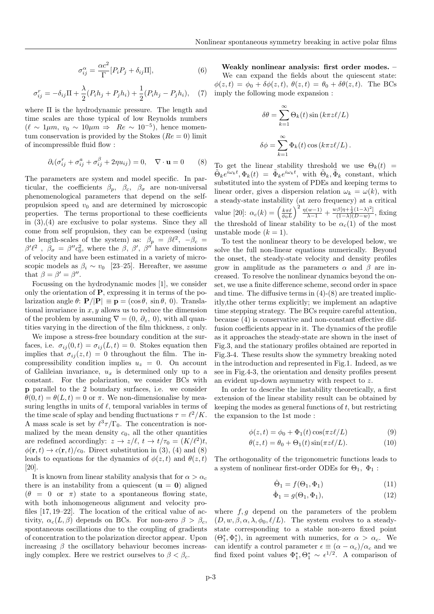$$
\sigma_{ij}^{\alpha} = \frac{\alpha c^2}{\Gamma} [P_i P_j + \delta_{ij} \Pi], \tag{6}
$$

$$
\sigma_{ij}^r = -\delta_{ij}\Pi + \frac{\lambda}{2}(P_i h_j + P_j h_i) + \frac{1}{2}(P_i h_j - P_j h_i), \quad (7)
$$

where Π is the hydrodynamic pressure. The length and time scales are those typical of low Reynolds numbers  $(\ell \sim 1 \mu m, v_0 \sim 10 \mu m \Rightarrow Re \sim 10^{-5})$ , hence momentum conservation is provided by the Stokes  $(Re = 0)$  limit of incompressible fluid flow :

$$
\partial_i(\sigma_{ij}^r + \sigma_{ij}^a + \sigma_{ij}^\beta + 2\eta u_{ij}) = 0, \quad \nabla \cdot \mathbf{u} = 0 \tag{8}
$$

The parameters are system and model specific. In particular, the coefficients  $\beta_p$ ,  $\beta_c$ ,  $\beta_\sigma$  are non-universal phenomenological parameters that depend on the selfpropulsion speed  $v_0$  and are determined by microscopic properties. The terms proportional to these coefficients in (3),(4) are exclusive to polar systems. Since they all come from self propulsion, they can be expressed (using the length-scales of the system) as:  $\beta_p = \beta \ell^2$ ,  $-\beta_c =$ *β'* $\ell^2$ ,  $\beta_\sigma = \beta'' c_0^2$ , where the *β*, *β'*, *β''* have dimensions of velocity and have been estimated in a variety of microscopic models as  $\beta_i \sim v_0$  [23–25]. Hereafter, we assume that  $\beta = \beta' = \beta''$ .

Focussing on the hydrodynamic modes [1], we consider only the orientation of **P**, expressing it in terms of the polarization angle  $\theta$ :  $P/|P| \equiv p = (\cos \theta, \sin \theta, 0)$ . Translational invariance in *x, y* allows us to reduce the dimension of the problem by assuming  $\nabla = (0, \partial_z, 0)$ , with all quantities varying in the direction of the film thickness, *z* only.

We impose a stress-free boundary condition at the surfaces, i.e.  $\sigma_{ij}(0,t) = \sigma_{ij}(L,t) = 0$ . Stokes equation then implies that  $\sigma_{ij}(z,t) = 0$  throughout the film. The incompressibility condition implies  $u_z = 0$ . On account of Galileian invariance,  $u_x$  is determined only up to a constant. For the polarization, we consider BCs with **p** parallel to the 2 boundary surfaces, i.e. we consider  $\theta(0,t) = \theta(L,t) = 0$  or  $\pi$ . We non-dimensionalise by measuring lengths in units of *ℓ*, temporal variables in terms of the time scale of splay and bending fluctuations  $\tau = \ell^2/K$ . A mass scale is set by  $\ell^3 \tau / \Gamma_0$ . The concentration is normalized by the mean density  $c_0$ , all the other quantities are redefined accordingly:  $z \to z/\ell$ ,  $t \to t/\tau_0 = (K/\ell^2)t$ ,  $\phi(\mathbf{r}, t) \rightarrow c(\mathbf{r}, t)/c_0$ . Direct substitution in (3), (4) and (8) leads to equations for the dynamics of  $\phi(z, t)$  and  $\theta(z, t)$ [20].

It is known from linear stability analysis that for  $\alpha > \alpha_c$ there is an instability from a quiescent  $(\mathbf{u} = \mathbf{0})$  aligned  $(\theta = 0 \text{ or } \pi)$  state to a spontaneous flowing state, with both inhomogeneous alignment and velocity profiles [17, 19–22]. The location of the critical value of activity,  $\alpha_c(L,\beta)$  depends on BCs. For non-zero  $\beta > \beta_c$ , spontaneous oscillations due to the coupling of gradients of concentration to the polarization director appear. Upon increasing  $\beta$  the oscillatory behaviour becomes increasingly complex. Here we restrict ourselves to  $\beta < \beta_c$ .

**Weakly nonlinear analysis: first order modes. –** We can expand the fields about the quiescent state:  $\phi(z,t) = \phi_0 + \delta\phi(z,t), \ \theta(z,t) = \theta_0 + \delta\theta(z,t).$  The BCs imply the following mode expansion :

$$
\delta\theta = \sum_{k=1}^{\infty} \Theta_k(t) \sin(k\pi z l/L)
$$

$$
\delta\phi = \sum_{k=1}^{\infty} \Phi_k(t) \cos(k\pi z l/L).
$$

To get the linear stability threshold we use  $\Theta_k(t)$  =  $\tilde{\Theta}_k e^{i\omega_k t}, \Phi_k(t) = \tilde{\Phi}_k e^{i\omega_k t}$ , with  $\tilde{\Theta}_k, \tilde{\Phi}_k$  constant, which substituted into the system of PDEs and keeping terms to linear order, gives a dispersion relation  $\omega_k = \omega(k)$ , with a steady-state instability (at zero frequency) at a critical value [20]:  $\alpha_c(k) = \left(\frac{k\pi\ell}{\phi_0 L}\right)$  $\int_{0}^{2} \frac{\eta(w-1)}{\lambda-1} + \frac{w\beta[\eta+\frac{1}{2}(1-\lambda)^{2}]}{(1-\lambda)(D-w)}$  $\frac{p_1p_1+2(1-\lambda)}{(1-\lambda)(D-w)}$ , fixing the threshold of linear stability to be  $\alpha_c(1)$  of the most unstable mode  $(k = 1)$ .

To test the nonlinear theory to be developed below, we solve the full non-linear equations numerically. Beyond the onset, the steady-state velocity and density profiles grow in amplitude as the parameters  $\alpha$  and  $\beta$  are increased. To resolve the nonlinear dynamics beyond the onset, we use a finite difference scheme, second order in space and time. The diffusive terms in  $(4)-(8)$  are treated implicitly,the other terms explicitly; we implement an adaptive time stepping strategy. The BCs require careful attention, because (4) is conservative and non-constant effective diffusion coefficients appear in it. The dynamics of the profile as it approaches the steady-state are shown in the inset of Fig.3, and the stationary profiles obtained are reported in Fig.3-4. These results show the symmetry breaking noted in the introduction and represented in Fig.1. Indeed, as we see in Fig.4-3, the orientation and density profiles present an evident up-down asymmetry with respect to *z*.

In order to describe the instability theoretically, a first extension of the linear stability result can be obtained by keeping the modes as general functions of *t*, but restricting the expansion to the 1st mode :

$$
\phi(z,t) = \phi_0 + \Phi_1(t) \cos(\pi z \ell/L) \tag{9}
$$

$$
\theta(z,t) = \theta_0 + \Theta_1(t) \sin(\pi z \ell/L). \tag{10}
$$

The orthogonality of the trigonometric functions leads to a system of nonlinear first-order ODEs for  $\Theta_1$ ,  $\Phi_1$ :

$$
\dot{\Theta}_1 = f(\Theta_1, \Phi_1) \tag{11}
$$

$$
\dot{\Phi}_1 = g(\Theta_1, \Phi_1),\tag{12}
$$

where *f, g* depend on the parameters of the problem  $(D, w, \beta, \alpha, \lambda, \phi_0, \ell/L)$ . The system evolves to a steadystate corresponding to a stable non-zero fixed point  $(\Theta_1^*, \Phi_1^*)$ , in agreement with numerics, for  $\alpha > \alpha_c$ . We can identify a control parameter  $\epsilon \equiv (\alpha - \alpha_c)/\alpha_c$  and we find fixed point values  $\Phi_1^*, \Theta_1^* \sim \epsilon^{1/2}$ . A comparison of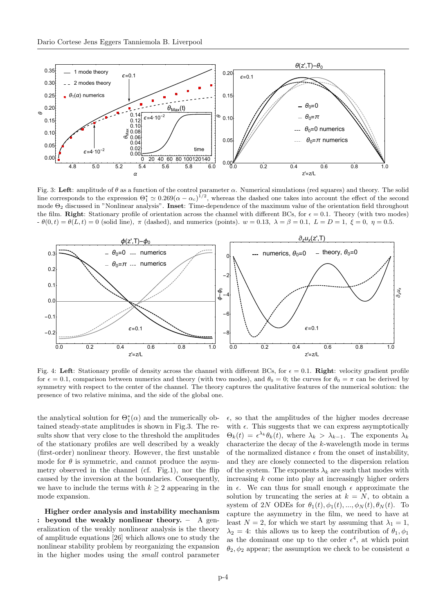

Fig. 3: **Left**: amplitude of *θ* as a function of the control parameter *α*. Numerical simulations (red squares) and theory. The solid line corresponds to the expression  $\Theta_1^* \simeq 0.269(\alpha - \alpha_c)^{1/2}$ , whereas the dashed one takes into account the effect of the second mode Θ<sup>2</sup> discussed in "Nonlinear analysis". **Inset**: Time-dependence of the maximum value of the orientation field throughout the film. **Right**: Stationary profile of orientation across the channel with different BCs, for  $\epsilon = 0.1$ . Theory (with two modes)  $\theta(0,t) = \theta(L,t) = 0$  (solid line),  $\pi$  (dashed), and numerics (points).  $w = 0.13$ ,  $\lambda = \beta = 0.1$ ,  $L = D = 1$ ,  $\xi = 0$ ,  $\eta = 0.5$ .



Fig. 4: Left: Stationary profile of density across the channel with different BCs, for  $\epsilon = 0.1$ . **Right**: velocity gradient profile for  $\epsilon = 0.1$ , comparison between numerics and theory (with two modes), and  $\theta_0 = 0$ ; the curves for  $\theta_0 = \pi$  can be derived by symmetry with respect to the center of the channel. The theory captures the qualitative features of the numerical solution: the presence of two relative minima, and the side of the global one.

the analytical solution for  $\Theta_1^*(\alpha)$  and the numerically obtained steady-state amplitudes is shown in Fig.3. The results show that very close to the threshold the amplitudes of the stationary profiles are well described by a weakly (first-order) nonlinear theory. However, the first unstable mode for  $\theta$  is symmetric, and cannot produce the asymmetry observed in the channel (cf. Fig.1), nor the flip caused by the inversion at the boundaries. Consequently, we have to include the terms with  $k \geq 2$  appearing in the mode expansion.

**Higher order analysis and instability mechanism : beyond the weakly nonlinear theory. –** A generalization of the weakly nonlinear analysis is the theory of amplitude equations [26] which allows one to study the nonlinear stability problem by reorganizing the expansion in the higher modes using the *small* control parameter

 $\epsilon$ , so that the amplitudes of the higher modes decrease with  $\epsilon$ . This suggests that we can express asymptotically  $\Theta_k(t) = \epsilon^{\lambda_k} \theta_k(t)$ , where  $\lambda_k > \lambda_{k-1}$ . The exponents  $\lambda_k$ characterize the decay of the *k*-wavelength mode in terms of the normalized distance  $\epsilon$  from the onset of instability, and they are closely connected to the dispersion relation of the system. The exponents  $\lambda_k$  are such that modes with increasing *k* come into play at increasingly higher orders in  $\epsilon$ . We can thus for small enough  $\epsilon$  approximate the solution by truncating the series at  $k = N$ , to obtain a system of 2*N* ODEs for  $\theta_1(t), \phi_1(t), ..., \phi_N(t), \theta_N(t)$ . To capture the asymmetry in the film, we need to have at least  $N = 2$ , for which we start by assuming that  $\lambda_1 = 1$ ,  $\lambda_2 = 4$ : this allows us to keep the contribution of  $\theta_1, \phi_1$ as the dominant one up to the order  $\epsilon^4$ , at which point  $\theta_2$ ,  $\phi_2$  appear; the assumption we check to be consistent *a*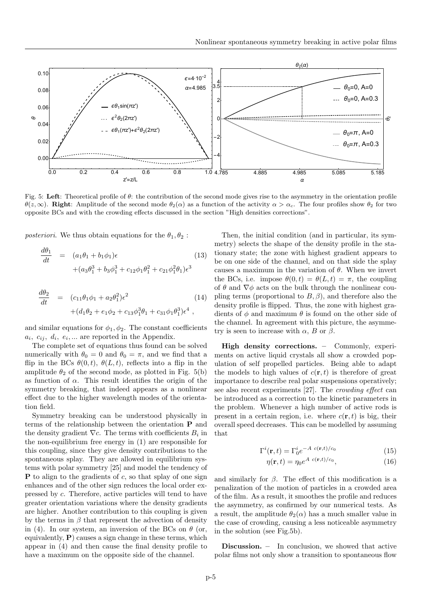

Fig. 5: **Left**: Theoretical profile of *θ*: the contribution of the second mode gives rise to the asymmetry in the orientation profile *θ*(*z*,  $\infty$ ). **Right**: Amplitude of the second mode *θ*<sub>2</sub>(*α*) as a function of the activity  $\alpha > \alpha_c$ . The four profiles show *θ*<sub>2</sub> for two opposite BCs and with the crowding effects discussed in the section "High densities corrections".

*posteriori*. We thus obtain equations for the  $\theta_1, \theta_2$ :

$$
\frac{d\theta_1}{dt} = (a_1\theta_1 + b_1\phi_1)\epsilon
$$
\n
$$
+ (a_3\theta_1^3 + b_3\phi_1^3 + c_{12}\phi_1\theta_1^2 + c_{21}\phi_1^2\theta_1)\epsilon^3
$$
\n(13)

$$
\frac{d\theta_2}{dt} = (c_{11}\theta_1\phi_1 + a_2\theta_1^2)\epsilon^2
$$
\n
$$
+ (d_1\theta_2 + e_1\phi_2 + c_{13}\phi_1^3\theta_1 + c_{31}\phi_1\theta_1^3)\epsilon^4,
$$
\n(14)

and similar equations for  $\phi_1, \phi_2$ . The constant coefficients  $a_i, c_{ij}, d_i, e_i, \ldots$  are reported in the Appendix.

The complete set of equations thus found can be solved numerically with  $\theta_0 = 0$  and  $\theta_0 = \pi$ , and we find that a flip in the BCs  $\theta(0,t)$ ,  $\theta(L,t)$ , reflects into a flip in the amplitude  $\theta_2$  of the second mode, as plotted in Fig. 5(b) as function of  $\alpha$ . This result identifies the origin of the symmetry breaking, that indeed appears as a nonlinear effect due to the higher wavelength modes of the orientation field.

Symmetry breaking can be understood physically in terms of the relationship between the orientation **P** and the density gradient  $\nabla c$ . The terms with coefficients  $B_i$  in the non-equilibrium free energy in (1) are responsible for this coupling, since they give density contributions to the spontaneous splay. They are allowed in equilibrium systems with polar symmetry [25] and model the tendency of **P** to align to the gradients of *c*, so that splay of one sign enhances and of the other sign reduces the local order expressed by *c*. Therefore, active particles will tend to have greater orientation variations where the density gradients are higher. Another contribution to this coupling is given by the terms in  $\beta$  that represent the advection of density in (4). In our system, an inversion of the BCs on  $\theta$  (or, equivalently, **P**) causes a sign change in these terms, which appear in (4) and then cause the final density profile to have a maximum on the opposite side of the channel.

Then, the initial condition (and in particular, its symmetry) selects the shape of the density profile in the stationary state; the zone with highest gradient appears to be on one side of the channel, and on that side the splay causes a maximum in the variation of *θ*. When we invert the BCs, i.e. impose  $\theta(0,t) = \theta(L,t) = \pi$ , the coupling of  $\theta$  and  $\nabla \phi$  acts on the bulk through the nonlinear coupling terms (proportional to *B, β*), and therefore also the density profile is flipped. Thus, the zone with highest gradients of  $\phi$  and maximum  $\theta$  is found on the other side of the channel. In agreement with this picture, the asymmetry is seen to increase with  $\alpha$ , *B* or  $\beta$ .

**High density corrections. –** Commonly, experiments on active liquid crystals all show a crowded population of self propelled particles. Being able to adapt the models to high values of  $c(\mathbf{r}, t)$  is therefore of great importance to describe real polar suspensions operatively; see also recent experiments [27]. The *crowding effect* can be introduced as a correction to the kinetic parameters in the problem. Whenever a high number of active rods is present in a certain region, i.e. where  $c(\mathbf{r}, t)$  is big, their overall speed decreases. This can be modelled by assuming that

$$
\Gamma^i(\mathbf{r},t) = \Gamma_0^i e^{-A} \, c(\mathbf{r},t)/c_0 \tag{15}
$$

$$
\eta(\mathbf{r},t) = \eta_0 e^{A} \, c(\mathbf{r},t)/c_0, \tag{16}
$$

and similarly for  $\beta$ . The effect of this modification is a penalization of the motion of particles in a crowded area of the film. As a result, it smoothes the profile and reduces the asymmetry, as confirmed by our numerical tests. As a result, the amplitude  $\theta_2(\alpha)$  has a much smaller value in the case of crowding, causing a less noticeable asymmetry in the solution (see Fig.5b).

**Discussion. –** In conclusion, we showed that active polar films not only show a transition to spontaneous flow